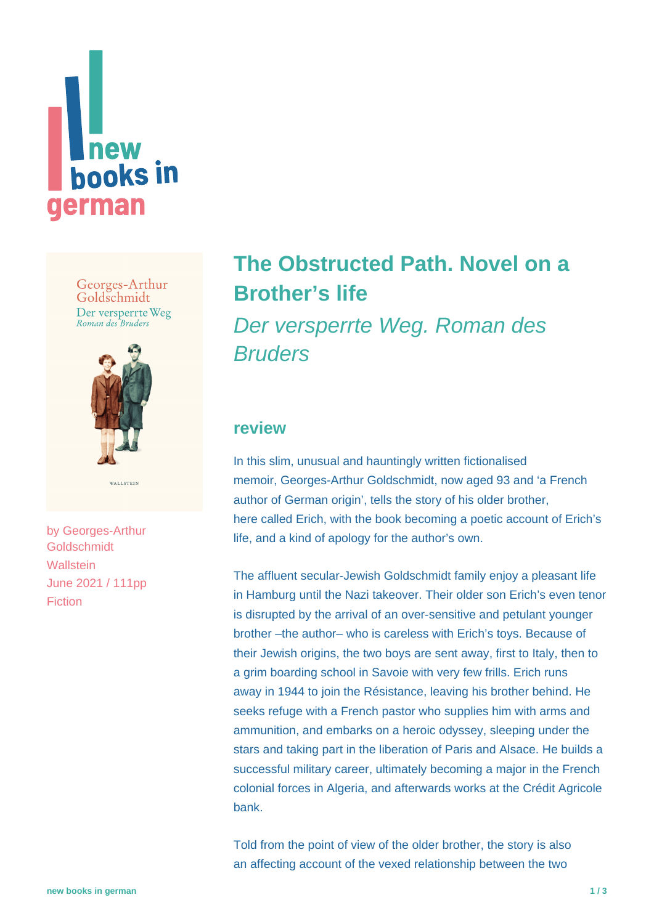

Georges-Arthur Goldschmidt Der versperrte Weg Roman des Bruders



by [Georges-Arthur](https://www.new-books-in-german.com/recommendations/?searchInput=Georges-Arthur%20Goldschmidt) **[Goldschmidt](https://www.new-books-in-german.com/recommendations/?searchInput=Georges-Arthur%20Goldschmidt) Wallstein** June 2021 / 111pp Fiction

# **[The Obstructed Path. Novel on a](https://www.new-books-in-german.com/recommendations/the-obstructed-path/) [Brother's life](https://www.new-books-in-german.com/recommendations/the-obstructed-path/)** Der versperrte Weg. Roman des **Bruders**

## **review**

In this slim, unusual and hauntingly written fictionalised memoir, Georges-Arthur Goldschmidt, now aged 93 and 'a French author of German origin', tells the story of his older brother. here called Erich, with the book becoming a poetic account of Erich's life, and a kind of apology for the author's own.

The affluent secular-Jewish Goldschmidt family enjoy a pleasant life in Hamburg until the Nazi takeover. Their older son Erich's even tenor is disrupted by the arrival of an over-sensitive and petulant younger brother –the author– who is careless with Erich's toys. Because of their Jewish origins, the two boys are sent away, first to Italy, then to a grim boarding school in Savoie with very few frills. Erich runs away in 1944 to join the Résistance, leaving his brother behind. He seeks refuge with a French pastor who supplies him with arms and ammunition, and embarks on a heroic odyssey, sleeping under the stars and taking part in the liberation of Paris and Alsace. He builds a successful military career, ultimately becoming a major in the French colonial forces in Algeria, and afterwards works at the Crédit Agricole bank.

Told from the point of view of the older brother, the story is also an affecting account of the vexed relationship between the two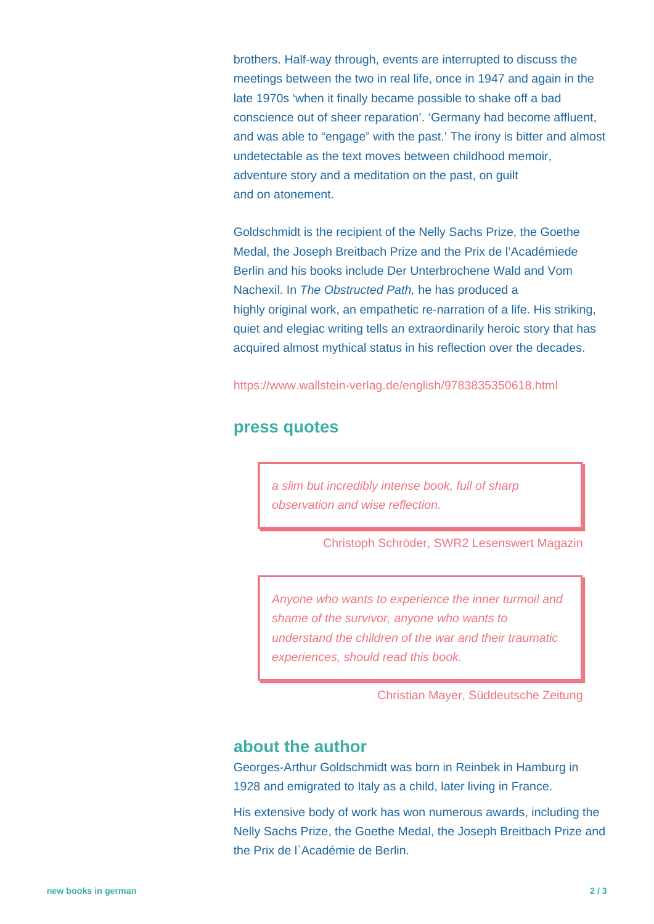brothers. Half-way through, events are interrupted to discuss the meetings between the two in real life, once in 1947 and again in the late 1970s 'when it finally became possible to shake off a bad conscience out of sheer reparation'. 'Germany had become affluent, and was able to "engage" with the past.' The irony is bitter and almost undetectable as the text moves between childhood memoir, adventure story and a meditation on the past, on guilt and on atonement.

Goldschmidt is the recipient of the Nelly Sachs Prize, the Goethe Medal, the Joseph Breitbach Prize and the Prix de l'Académiede Berlin and his books include Der Unterbrochene Wald and Vom Nachexil. In The Obstructed Path, he has produced a highly original work, an empathetic re-narration of a life. His striking, quiet and elegiac writing tells an extraordinarily heroic story that has acquired almost mythical status in his reflection over the decades.

<https://www.wallstein-verlag.de/english/9783835350618.html>

#### **press quotes**

a slim but incredibly intense book, full of sharp observation and wise reflection.

Christoph Schröder, SWR2 Lesenswert Magazin

Anyone who wants to experience the inner turmoil and shame of the survivor, anyone who wants to understand the children of the war and their traumatic experiences, should read this book.

Christian Mayer, Süddeutsche Zeitung

### **about the author**

Georges-Arthur Goldschmidt was born in Reinbek in Hamburg in 1928 and emigrated to Italy as a child, later living in France.

His extensive body of work has won numerous awards, including the Nelly Sachs Prize, the Goethe Medal, the Joseph Breitbach Prize and the Prix de l`Académie de Berlin.